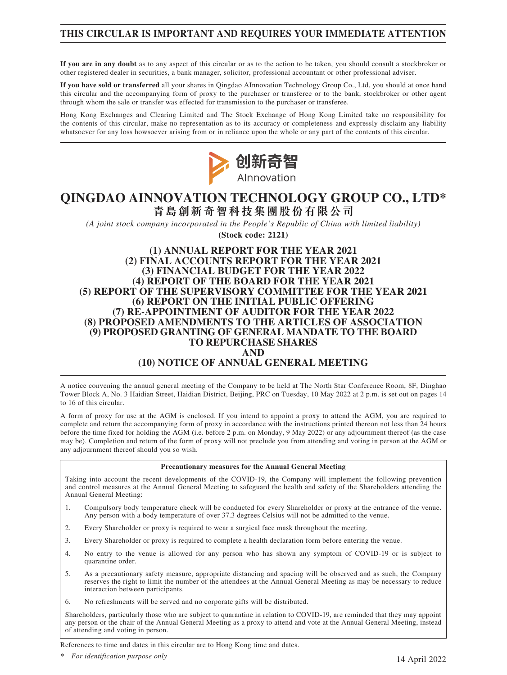## **THIS CIRCULAR IS IMPORTANT AND REQUIRES YOUR IMMEDIATE ATTENTION**

**If you are in any doubt** as to any aspect of this circular or as to the action to be taken, you should consult a stockbroker or other registered dealer in securities, a bank manager, solicitor, professional accountant or other professional adviser.

**If you have sold or transferred** all your shares in Qingdao AInnovation Technology Group Co., Ltd, you should at once hand this circular and the accompanying form of proxy to the purchaser or transferee or to the bank, stockbroker or other agent through whom the sale or transfer was effected for transmission to the purchaser or transferee.

Hong Kong Exchanges and Clearing Limited and The Stock Exchange of Hong Kong Limited take no responsibility for the contents of this circular, make no representation as to its accuracy or completeness and expressly disclaim any liability whatsoever for any loss howsoever arising from or in reliance upon the whole or any part of the contents of this circular.



# **QINGDAO AINNOVATION TECHNOLOGY GROUP CO., LTD\* 青島創新奇智科技集團股份有限公司**

*(A joint stock company incorporated in the People's Republic of China with limited liability)* **(Stock code: 2121)**

**(1) ANNUAL REPORT FOR THE YEAR 2021 (2) FINAL ACCOUNTS REPORT FOR THE YEAR 2021 (3) FINANCIAL BUDGET FOR THE YEAR 2022 (4) REPORT OF THE BOARD FOR THE YEAR 2021 (5) REPORT OF THE SUPERVISORY COMMITTEE FOR THE YEAR 2021 (6) REPORT ON THE INITIAL PUBLIC OFFERING (7) RE-APPOINTMENT OF AUDITOR FOR THE YEAR 2022 (8) PROPOSED AMENDMENTS TO THE ARTICLES OF ASSOCIATION (9) PROPOSED GRANTING OF GENERAL MANDATE TO THE BOARD TO REPURCHASE SHARES AND (10) NOTICE OF ANNUAL GENERAL MEETING**

A notice convening the annual general meeting of the Company to be held at The North Star Conference Room, 8F, Dinghao Tower Block A, No. 3 Haidian Street, Haidian District, Beijing, PRC on Tuesday, 10 May 2022 at 2 p.m. is set out on pages 14 to 16 of this circular.

A form of proxy for use at the AGM is enclosed. If you intend to appoint a proxy to attend the AGM, you are required to complete and return the accompanying form of proxy in accordance with the instructions printed thereon not less than 24 hours before the time fixed for holding the AGM (i.e. before 2 p.m. on Monday, 9 May 2022) or any adjournment thereof (as the case may be). Completion and return of the form of proxy will not preclude you from attending and voting in person at the AGM or any adjournment thereof should you so wish.

### **Precautionary measures for the Annual General Meeting**

Taking into account the recent developments of the COVID-19, the Company will implement the following prevention and control measures at the Annual General Meeting to safeguard the health and safety of the Shareholders attending the Annual General Meeting:

- 1. Compulsory body temperature check will be conducted for every Shareholder or proxy at the entrance of the venue. Any person with a body temperature of over 37.3 degrees Celsius will not be admitted to the venue.
- 2. Every Shareholder or proxy is required to wear a surgical face mask throughout the meeting.
- 3. Every Shareholder or proxy is required to complete a health declaration form before entering the venue.
- 4. No entry to the venue is allowed for any person who has shown any symptom of COVID-19 or is subject to quarantine order.
- 5. As a precautionary safety measure, appropriate distancing and spacing will be observed and as such, the Company reserves the right to limit the number of the attendees at the Annual General Meeting as may be necessary to reduce interaction between participants.
- 6. No refreshments will be served and no corporate gifts will be distributed.

Shareholders, particularly those who are subject to quarantine in relation to COVID-19, are reminded that they may appoint any person or the chair of the Annual General Meeting as a proxy to attend and vote at the Annual General Meeting, instead of attending and voting in person.

References to time and dates in this circular are to Hong Kong time and dates.

*\* For identification purpose only*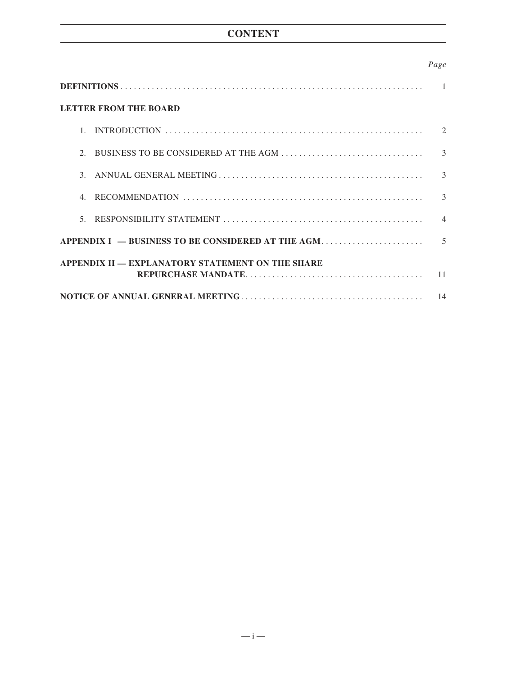# **CONTENT**

### *Page*

| <b>LETTER FROM THE BOARD</b>                     |                             |
|--------------------------------------------------|-----------------------------|
| $\mathbf{1}$ .                                   | $\mathcal{D}_{\mathcal{L}}$ |
| $\mathcal{D}_{\mathcal{L}}$                      | $\mathcal{R}$               |
| $\mathcal{E}$                                    | $\mathcal{E}$               |
| $\overline{4}$                                   | 3                           |
| $5^{\circ}$                                      | $\overline{4}$              |
|                                                  | $\overline{5}$              |
| APPENDIX II — EXPLANATORY STATEMENT ON THE SHARE |                             |
|                                                  | 11                          |
|                                                  | 14                          |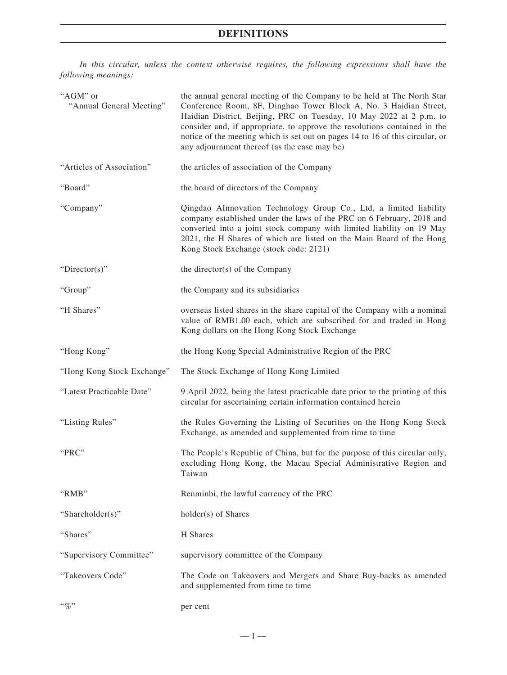## **DEFINITIONS**

*In this circular, unless the context otherwise requires, the following expressions shall have the following meanings:*

| "AGM" or<br>"Annual General Meeting" | the annual general meeting of the Company to be held at The North Star<br>Conference Room, 8F, Dinghao Tower Block A, No. 3 Haidian Street,<br>Haidian District, Beijing, PRC on Tuesday, 10 May 2022 at 2 p.m. to<br>consider and, if appropriate, to approve the resolutions contained in the<br>notice of the meeting which is set out on pages 14 to 16 of this circular, or<br>any adjournment thereof (as the case may be) |
|--------------------------------------|----------------------------------------------------------------------------------------------------------------------------------------------------------------------------------------------------------------------------------------------------------------------------------------------------------------------------------------------------------------------------------------------------------------------------------|
| "Articles of Association"            | the articles of association of the Company                                                                                                                                                                                                                                                                                                                                                                                       |
| "Board"                              | the board of directors of the Company                                                                                                                                                                                                                                                                                                                                                                                            |
| "Company"                            | Qingdao AInnovation Technology Group Co., Ltd, a limited liability<br>company established under the laws of the PRC on 6 February, 2018 and<br>converted into a joint stock company with limited liability on 19 May<br>2021, the H Shares of which are listed on the Main Board of the Hong<br>Kong Stock Exchange (stock code: 2121)                                                                                           |
| "Director(s)"                        | the director(s) of the Company                                                                                                                                                                                                                                                                                                                                                                                                   |
| "Group"                              | the Company and its subsidiaries                                                                                                                                                                                                                                                                                                                                                                                                 |
| "H Shares"                           | overseas listed shares in the share capital of the Company with a nominal<br>value of RMB1.00 each, which are subscribed for and traded in Hong<br>Kong dollars on the Hong Kong Stock Exchange                                                                                                                                                                                                                                  |
| "Hong Kong"                          | the Hong Kong Special Administrative Region of the PRC                                                                                                                                                                                                                                                                                                                                                                           |
| "Hong Kong Stock Exchange"           | The Stock Exchange of Hong Kong Limited                                                                                                                                                                                                                                                                                                                                                                                          |
| "Latest Practicable Date"            | 9 April 2022, being the latest practicable date prior to the printing of this<br>circular for ascertaining certain information contained herein                                                                                                                                                                                                                                                                                  |
| "Listing Rules"                      | the Rules Governing the Listing of Securities on the Hong Kong Stock<br>Exchange, as amended and supplemented from time to time                                                                                                                                                                                                                                                                                                  |
| "PRC"                                | The People's Republic of China, but for the purpose of this circular only,<br>excluding Hong Kong, the Macau Special Administrative Region and<br>Taiwan                                                                                                                                                                                                                                                                         |
| "RMB"                                | Renminbi, the lawful currency of the PRC                                                                                                                                                                                                                                                                                                                                                                                         |
| "Shareholder(s)"                     | holder(s) of Shares                                                                                                                                                                                                                                                                                                                                                                                                              |
| "Shares"                             | H Shares                                                                                                                                                                                                                                                                                                                                                                                                                         |
| "Supervisory Committee"              | supervisory committee of the Company                                                                                                                                                                                                                                                                                                                                                                                             |
| "Takeovers Code"                     | The Code on Takeovers and Mergers and Share Buy-backs as amended<br>and supplemented from time to time                                                                                                                                                                                                                                                                                                                           |
| $``q_0"$                             | per cent                                                                                                                                                                                                                                                                                                                                                                                                                         |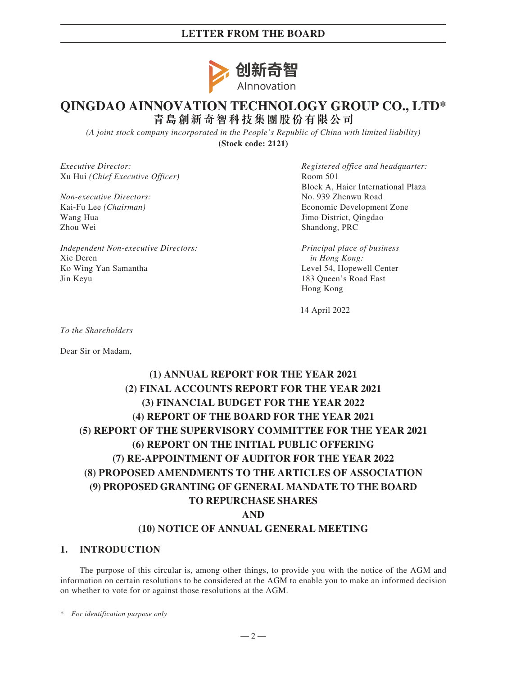## **LETTER FROM THE BOARD**



# **QINGDAO AINNOVATION TECHNOLOGY GROUP CO., LTD\* 青島創新奇智科技集團股份有限公司**

*(A joint stock company incorporated in the People's Republic of China with limited liability)* **(Stock code: 2121)**

*Executive Director:* Xu Hui *(Chief Executive Officer)*

*Non-executive Directors:* Kai-Fu Lee *(Chairman)* Wang Hua Zhou Wei

*Independent Non-executive Directors:* Xie Deren Ko Wing Yan Samantha Jin Keyu

*Registered office and headquarter:* Room 501 Block A, Haier International Plaza No. 939 Zhenwu Road Economic Development Zone Jimo District, Qingdao Shandong, PRC

*Principal place of business in Hong Kong:* Level 54, Hopewell Center 183 Queen's Road East Hong Kong

14 April 2022

*To the Shareholders*

Dear Sir or Madam,

# **(1) ANNUAL REPORT FOR THE YEAR 2021 (2) FINAL ACCOUNTS REPORT FOR THE YEAR 2021 (3) FINANCIAL BUDGET FOR THE YEAR 2022 (4) REPORT OF THE BOARD FOR THE YEAR 2021 (5) REPORT OF THE SUPERVISORY COMMITTEE FOR THE YEAR 2021 (6) REPORT ON THE INITIAL PUBLIC OFFERING (7) RE-APPOINTMENT OF AUDITOR FOR THE YEAR 2022 (8) PROPOSED AMENDMENTS TO THE ARTICLES OF ASSOCIATION (9) PROPOSED GRANTING OF GENERAL MANDATE TO THE BOARD TO REPURCHASE SHARES AND (10) NOTICE OF ANNUAL GENERAL MEETING**

### **1. INTRODUCTION**

The purpose of this circular is, among other things, to provide you with the notice of the AGM and information on certain resolutions to be considered at the AGM to enable you to make an informed decision on whether to vote for or against those resolutions at the AGM.

\* *For identification purpose only*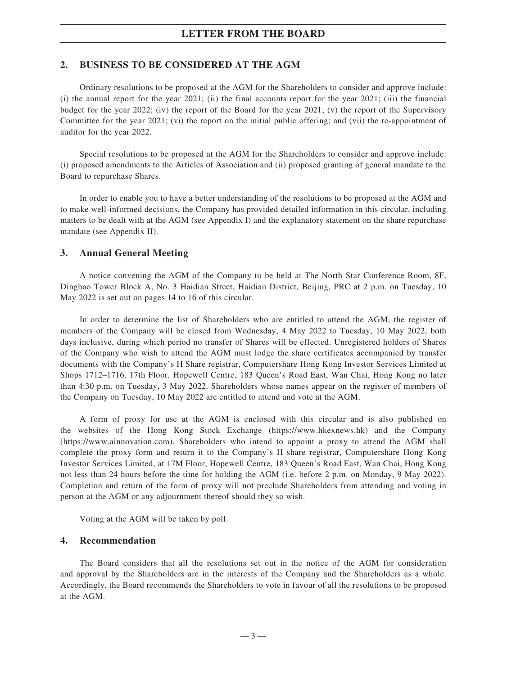### **LETTER FROM THE BOARD**

### **2. BUSINESS TO BE CONSIDERED AT THE AGM**

Ordinary resolutions to be proposed at the AGM for the Shareholders to consider and approve include: (i) the annual report for the year 2021; (ii) the final accounts report for the year 2021; (iii) the financial budget for the year 2022; (iv) the report of the Board for the year 2021; (v) the report of the Supervisory Committee for the year 2021; (vi) the report on the initial public offering; and (vii) the re-appointment of auditor for the year 2022.

Special resolutions to be proposed at the AGM for the Shareholders to consider and approve include: (i) proposed amendments to the Articles of Association and (ii) proposed granting of general mandate to the Board to repurchase Shares.

In order to enable you to have a better understanding of the resolutions to be proposed at the AGM and to make well-informed decisions, the Company has provided detailed information in this circular, including matters to be dealt with at the AGM (see Appendix I) and the explanatory statement on the share repurchase mandate (see Appendix II).

### **3. Annual General Meeting**

A notice convening the AGM of the Company to be held at The North Star Conference Room, 8F, Dinghao Tower Block A, No. 3 Haidian Street, Haidian District, Beijing, PRC at 2 p.m. on Tuesday, 10 May 2022 is set out on pages 14 to 16 of this circular.

In order to determine the list of Shareholders who are entitled to attend the AGM, the register of members of the Company will be closed from Wednesday, 4 May 2022 to Tuesday, 10 May 2022, both days inclusive, during which period no transfer of Shares will be effected. Unregistered holders of Shares of the Company who wish to attend the AGM must lodge the share certificates accompanied by transfer documents with the Company's H Share registrar, Computershare Hong Kong Investor Services Limited at Shops 1712–1716, 17th Floor, Hopewell Centre, 183 Queen's Road East, Wan Chai, Hong Kong no later than 4:30 p.m. on Tuesday, 3 May 2022. Shareholders whose names appear on the register of members of the Company on Tuesday, 10 May 2022 are entitled to attend and vote at the AGM.

A form of proxy for use at the AGM is enclosed with this circular and is also published on the websites of the Hong Kong Stock Exchange (https://www.hkexnews.hk) and the Company (https://www.ainnovation.com). Shareholders who intend to appoint a proxy to attend the AGM shall complete the proxy form and return it to the Company's H share registrar, Computershare Hong Kong Investor Services Limited, at 17M Floor, Hopewell Centre, 183 Queen's Road East, Wan Chai, Hong Kong not less than 24 hours before the time for holding the AGM (i.e. before 2 p.m. on Monday, 9 May 2022). Completion and return of the form of proxy will not preclude Shareholders from attending and voting in person at the AGM or any adjournment thereof should they so wish.

Voting at the AGM will be taken by poll.

### **4. Recommendation**

The Board considers that all the resolutions set out in the notice of the AGM for consideration and approval by the Shareholders are in the interests of the Company and the Shareholders as a whole. Accordingly, the Board recommends the Shareholders to vote in favour of all the resolutions to be proposed at the AGM.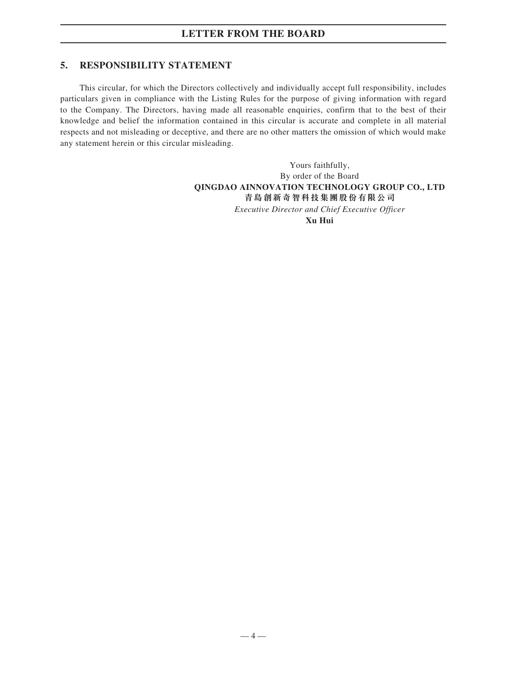### **5. RESPONSIBILITY STATEMENT**

This circular, for which the Directors collectively and individually accept full responsibility, includes particulars given in compliance with the Listing Rules for the purpose of giving information with regard to the Company. The Directors, having made all reasonable enquiries, confirm that to the best of their knowledge and belief the information contained in this circular is accurate and complete in all material respects and not misleading or deceptive, and there are no other matters the omission of which would make any statement herein or this circular misleading.

> Yours faithfully, By order of the Board **QINGDAO AINNOVATION TECHNOLOGY GROUP CO., LTD 青島創新奇智科技集團股份有限公司** *Executive Director and Chief Executive Officer* **Xu Hui**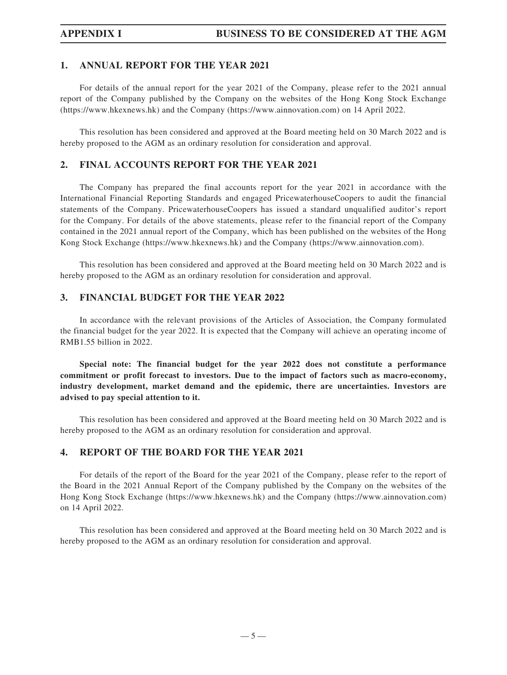### **1. ANNUAL REPORT FOR THE YEAR 2021**

For details of the annual report for the year 2021 of the Company, please refer to the 2021 annual report of the Company published by the Company on the websites of the Hong Kong Stock Exchange (https://www.hkexnews.hk) and the Company (https://www.ainnovation.com) on 14 April 2022.

This resolution has been considered and approved at the Board meeting held on 30 March 2022 and is hereby proposed to the AGM as an ordinary resolution for consideration and approval.

### **2. FINAL ACCOUNTS REPORT FOR THE YEAR 2021**

The Company has prepared the final accounts report for the year 2021 in accordance with the International Financial Reporting Standards and engaged PricewaterhouseCoopers to audit the financial statements of the Company. PricewaterhouseCoopers has issued a standard unqualified auditor's report for the Company. For details of the above statements, please refer to the financial report of the Company contained in the 2021 annual report of the Company, which has been published on the websites of the Hong Kong Stock Exchange (https://www.hkexnews.hk) and the Company (https://www.ainnovation.com).

This resolution has been considered and approved at the Board meeting held on 30 March 2022 and is hereby proposed to the AGM as an ordinary resolution for consideration and approval.

### **3. FINANCIAL BUDGET FOR THE YEAR 2022**

In accordance with the relevant provisions of the Articles of Association, the Company formulated the financial budget for the year 2022. It is expected that the Company will achieve an operating income of RMB1.55 billion in 2022.

**Special note: The financial budget for the year 2022 does not constitute a performance commitment or profit forecast to investors. Due to the impact of factors such as macro-economy, industry development, market demand and the epidemic, there are uncertainties. Investors are advised to pay special attention to it.**

This resolution has been considered and approved at the Board meeting held on 30 March 2022 and is hereby proposed to the AGM as an ordinary resolution for consideration and approval.

### **4. REPORT OF THE BOARD FOR THE YEAR 2021**

For details of the report of the Board for the year 2021 of the Company, please refer to the report of the Board in the 2021 Annual Report of the Company published by the Company on the websites of the Hong Kong Stock Exchange (https://www.hkexnews.hk) and the Company (https://www.ainnovation.com) on 14 April 2022.

This resolution has been considered and approved at the Board meeting held on 30 March 2022 and is hereby proposed to the AGM as an ordinary resolution for consideration and approval.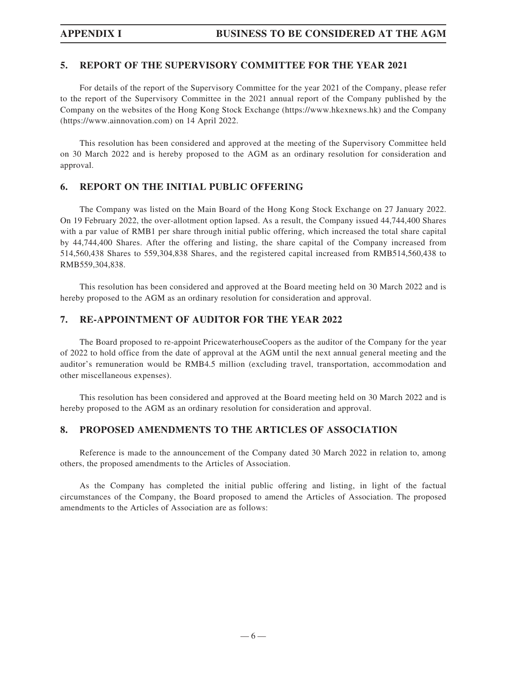## **5. REPORT OF THE SUPERVISORY COMMITTEE FOR THE YEAR 2021**

For details of the report of the Supervisory Committee for the year 2021 of the Company, please refer to the report of the Supervisory Committee in the 2021 annual report of the Company published by the Company on the websites of the Hong Kong Stock Exchange (https://www.hkexnews.hk) and the Company (https://www.ainnovation.com) on 14 April 2022.

This resolution has been considered and approved at the meeting of the Supervisory Committee held on 30 March 2022 and is hereby proposed to the AGM as an ordinary resolution for consideration and approval.

### **6. REPORT ON THE INITIAL PUBLIC OFFERING**

The Company was listed on the Main Board of the Hong Kong Stock Exchange on 27 January 2022. On 19 February 2022, the over-allotment option lapsed. As a result, the Company issued 44,744,400 Shares with a par value of RMB1 per share through initial public offering, which increased the total share capital by 44,744,400 Shares. After the offering and listing, the share capital of the Company increased from 514,560,438 Shares to 559,304,838 Shares, and the registered capital increased from RMB514,560,438 to RMB559,304,838.

This resolution has been considered and approved at the Board meeting held on 30 March 2022 and is hereby proposed to the AGM as an ordinary resolution for consideration and approval.

### **7. RE-APPOINTMENT OF AUDITOR FOR THE YEAR 2022**

The Board proposed to re-appoint PricewaterhouseCoopers as the auditor of the Company for the year of 2022 to hold office from the date of approval at the AGM until the next annual general meeting and the auditor's remuneration would be RMB4.5 million (excluding travel, transportation, accommodation and other miscellaneous expenses).

This resolution has been considered and approved at the Board meeting held on 30 March 2022 and is hereby proposed to the AGM as an ordinary resolution for consideration and approval.

## **8. PROPOSED AMENDMENTS TO THE ARTICLES OF ASSOCIATION**

Reference is made to the announcement of the Company dated 30 March 2022 in relation to, among others, the proposed amendments to the Articles of Association.

As the Company has completed the initial public offering and listing, in light of the factual circumstances of the Company, the Board proposed to amend the Articles of Association. The proposed amendments to the Articles of Association are as follows: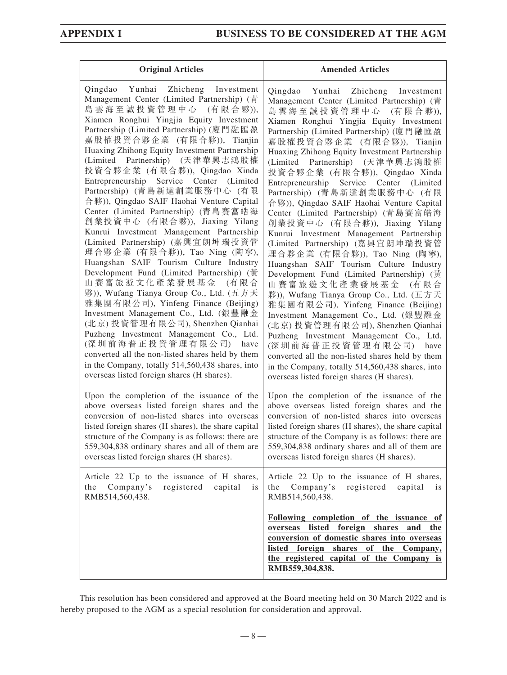| <b>Original Articles</b>                                                                                                                                                                                                                                                                                                                                                                                                                                                                                                                                                                                                                                                                                                                                                                                                                                                                                                                                                                                                                                                                                                                                                       | <b>Amended Articles</b>                                                                                                                                                                                                                                                                                                                                                                                                                                                                                                                                                                                                                                                                                                                                                                                                                                                                                                                                                                                                                                                                                                                                                              |
|--------------------------------------------------------------------------------------------------------------------------------------------------------------------------------------------------------------------------------------------------------------------------------------------------------------------------------------------------------------------------------------------------------------------------------------------------------------------------------------------------------------------------------------------------------------------------------------------------------------------------------------------------------------------------------------------------------------------------------------------------------------------------------------------------------------------------------------------------------------------------------------------------------------------------------------------------------------------------------------------------------------------------------------------------------------------------------------------------------------------------------------------------------------------------------|--------------------------------------------------------------------------------------------------------------------------------------------------------------------------------------------------------------------------------------------------------------------------------------------------------------------------------------------------------------------------------------------------------------------------------------------------------------------------------------------------------------------------------------------------------------------------------------------------------------------------------------------------------------------------------------------------------------------------------------------------------------------------------------------------------------------------------------------------------------------------------------------------------------------------------------------------------------------------------------------------------------------------------------------------------------------------------------------------------------------------------------------------------------------------------------|
| Qingdao Yunhai Zhicheng Investment<br>Management Center (Limited Partnership) (青<br>島雲海至誠投資管理中心 (有限合夥)),<br>Xiamen Ronghui Yingjia Equity Investment<br>Partnership (Limited Partnership) (廈門融匯盈<br>嘉股權投資合夥企業 (有限合夥)), Tianjin<br>Huaxing Zhihong Equity Investment Partnership<br>(Limited Partnership) (天津華興志鴻股權<br>投資合夥企業 (有限合夥)), Qingdao Xinda<br>Entrepreneurship Service Center (Limited<br>Partnership) (青島新達創業服務中心 (有限<br>合夥)), Qingdao SAIF Haohai Venture Capital<br>Center (Limited Partnership) (青島賽富皓海<br>創業投資中心 (有限合夥)), Jiaxing Yilang<br>Kunrui Investment Management Partnership<br>(Limited Partnership) (嘉興宜朗坤瑞投資管<br>理合夥企業 (有限合夥)), Tao Ning (陶寧),<br>Huangshan SAIF Tourism Culture Industry<br>Development Fund (Limited Partnership) (黃<br>山賽富旅遊文化產業發展基金 (有限合<br>夥)), Wufang Tianya Group Co., Ltd. (五方天<br>雅集團有限公司), Yinfeng Finance (Beijing)<br>Investment Management Co., Ltd. (銀豐融金<br>(北京) 投資管理有限公司), Shenzhen Qianhai<br>Puzheng Investment Management Co., Ltd.<br>(深圳前海普正投資管理有限公司) have<br>converted all the non-listed shares held by them<br>in the Company, totally 514,560,438 shares, into<br>overseas listed foreign shares (H shares). | Qingdao Yunhai Zhicheng<br>Investment<br>Management Center (Limited Partnership) (青<br>島雲海至誠投資管理中心 (有限合夥)),<br>Xiamen Ronghui Yingjia Equity Investment<br>Partnership (Limited Partnership) (廈門融匯盈<br>嘉股權投資合夥企業 (有限合夥)), Tianjin<br>Huaxing Zhihong Equity Investment Partnership<br>(Limited Partnership) (天津華興志鴻股權<br>投資合夥企業 (有限合夥)), Qingdao Xinda<br>Entrepreneurship Service Center (Limited<br>Partnership) (青島新達創業服務中心 (有限<br>合夥)), Qingdao SAIF Haohai Venture Capital<br>Center (Limited Partnership) (青島賽富皓海<br>創業投資中心 (有限合夥)), Jiaxing Yilang<br>Kunrui Investment Management Partnership<br>(Limited Partnership) (嘉興宜朗坤瑞投資管<br>理合夥企業 (有限合夥)), Tao Ning (陶寧),<br>Huangshan SAIF Tourism Culture Industry<br>Development Fund (Limited Partnership) (黃<br>山賽富旅遊文化產業發展基金<br>(有限合<br>夥)), Wufang Tianya Group Co., Ltd. (五方天<br>雅集團有限公司), Yinfeng Finance (Beijing)<br>Investment Management Co., Ltd. (銀豐融金<br>(北京) 投資管理有限公司), Shenzhen Qianhai<br>Puzheng Investment Management Co., Ltd.<br>(深圳前海普正投資管理有限公司) have<br>converted all the non-listed shares held by them<br>in the Company, totally 514,560,438 shares, into<br>overseas listed foreign shares (H shares). |
| Upon the completion of the issuance of the<br>above overseas listed foreign shares and the<br>conversion of non-listed shares into overseas<br>listed foreign shares (H shares), the share capital<br>structure of the Company is as follows: there are<br>559,304,838 ordinary shares and all of them are<br>overseas listed foreign shares (H shares).                                                                                                                                                                                                                                                                                                                                                                                                                                                                                                                                                                                                                                                                                                                                                                                                                       | Upon the completion of the issuance of the<br>above overseas listed foreign shares and the<br>conversion of non-listed shares into overseas<br>listed foreign shares (H shares), the share capital<br>structure of the Company is as follows: there are<br>559,304,838 ordinary shares and all of them are<br>overseas listed foreign shares (H shares).                                                                                                                                                                                                                                                                                                                                                                                                                                                                                                                                                                                                                                                                                                                                                                                                                             |
| Article 22 Up to the issuance of H shares,<br>registered capital<br>the<br>Company's<br>$\frac{1}{1}$<br>RMB514,560,438.                                                                                                                                                                                                                                                                                                                                                                                                                                                                                                                                                                                                                                                                                                                                                                                                                                                                                                                                                                                                                                                       | Article 22 Up to the issuance of H shares,<br>Company's<br>registered capital<br>the<br>1S<br>RMB514,560,438.                                                                                                                                                                                                                                                                                                                                                                                                                                                                                                                                                                                                                                                                                                                                                                                                                                                                                                                                                                                                                                                                        |
|                                                                                                                                                                                                                                                                                                                                                                                                                                                                                                                                                                                                                                                                                                                                                                                                                                                                                                                                                                                                                                                                                                                                                                                | Following completion of the issuance of<br>overseas listed<br>foreign<br>shares<br>and<br>the<br>conversion of domestic shares into overseas<br>listed foreign shares of the Company,<br>the registered capital of the Company is<br>RMB559,304,838.                                                                                                                                                                                                                                                                                                                                                                                                                                                                                                                                                                                                                                                                                                                                                                                                                                                                                                                                 |

This resolution has been considered and approved at the Board meeting held on 30 March 2022 and is hereby proposed to the AGM as a special resolution for consideration and approval.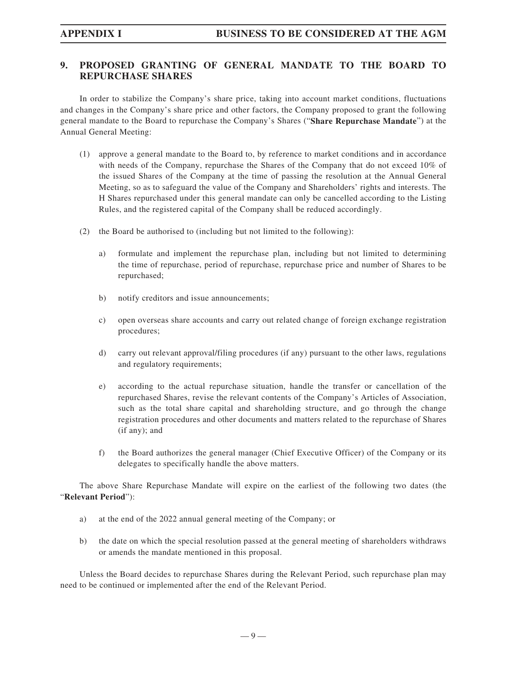## **9. PROPOSED GRANTING OF GENERAL MANDATE TO THE BOARD TO REPURCHASE SHARES**

In order to stabilize the Company's share price, taking into account market conditions, fluctuations and changes in the Company's share price and other factors, the Company proposed to grant the following general mandate to the Board to repurchase the Company's Shares ("**Share Repurchase Mandate**") at the Annual General Meeting:

- (1) approve a general mandate to the Board to, by reference to market conditions and in accordance with needs of the Company, repurchase the Shares of the Company that do not exceed 10% of the issued Shares of the Company at the time of passing the resolution at the Annual General Meeting, so as to safeguard the value of the Company and Shareholders' rights and interests. The H Shares repurchased under this general mandate can only be cancelled according to the Listing Rules, and the registered capital of the Company shall be reduced accordingly.
- (2) the Board be authorised to (including but not limited to the following):
	- a) formulate and implement the repurchase plan, including but not limited to determining the time of repurchase, period of repurchase, repurchase price and number of Shares to be repurchased;
	- b) notify creditors and issue announcements;
	- c) open overseas share accounts and carry out related change of foreign exchange registration procedures;
	- d) carry out relevant approval/filing procedures (if any) pursuant to the other laws, regulations and regulatory requirements;
	- e) according to the actual repurchase situation, handle the transfer or cancellation of the repurchased Shares, revise the relevant contents of the Company's Articles of Association, such as the total share capital and shareholding structure, and go through the change registration procedures and other documents and matters related to the repurchase of Shares (if any); and
	- f) the Board authorizes the general manager (Chief Executive Officer) of the Company or its delegates to specifically handle the above matters.

The above Share Repurchase Mandate will expire on the earliest of the following two dates (the "**Relevant Period**"):

- a) at the end of the 2022 annual general meeting of the Company; or
- b) the date on which the special resolution passed at the general meeting of shareholders withdraws or amends the mandate mentioned in this proposal.

Unless the Board decides to repurchase Shares during the Relevant Period, such repurchase plan may need to be continued or implemented after the end of the Relevant Period.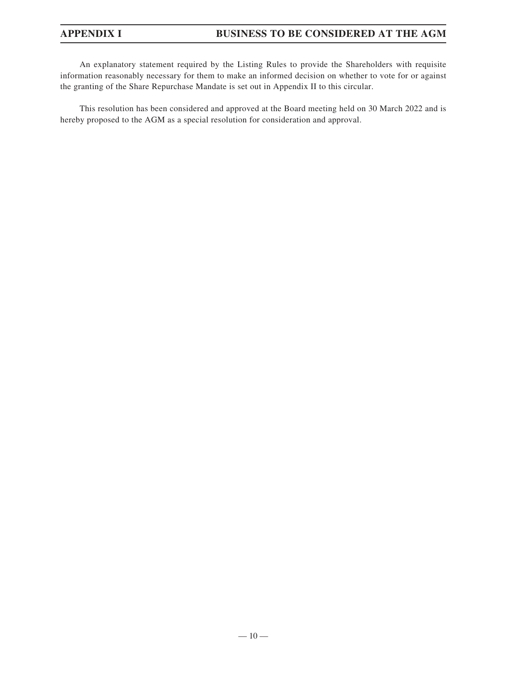An explanatory statement required by the Listing Rules to provide the Shareholders with requisite information reasonably necessary for them to make an informed decision on whether to vote for or against the granting of the Share Repurchase Mandate is set out in Appendix II to this circular.

This resolution has been considered and approved at the Board meeting held on 30 March 2022 and is hereby proposed to the AGM as a special resolution for consideration and approval.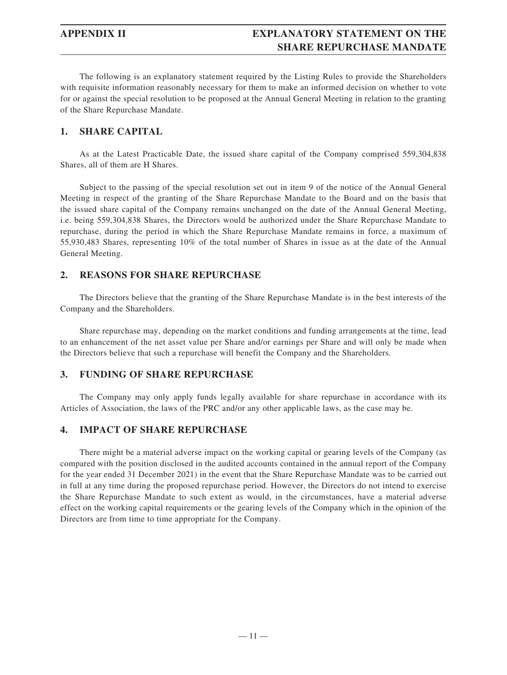## **APPENDIX II EXPLANATORY STATEMENT ON THE SHARE REPURCHASE MANDATE**

The following is an explanatory statement required by the Listing Rules to provide the Shareholders with requisite information reasonably necessary for them to make an informed decision on whether to vote for or against the special resolution to be proposed at the Annual General Meeting in relation to the granting of the Share Repurchase Mandate.

### **1. SHARE CAPITAL**

As at the Latest Practicable Date, the issued share capital of the Company comprised 559,304,838 Shares, all of them are H Shares.

Subject to the passing of the special resolution set out in item 9 of the notice of the Annual General Meeting in respect of the granting of the Share Repurchase Mandate to the Board and on the basis that the issued share capital of the Company remains unchanged on the date of the Annual General Meeting, i.e. being 559,304,838 Shares, the Directors would be authorized under the Share Repurchase Mandate to repurchase, during the period in which the Share Repurchase Mandate remains in force, a maximum of 55,930,483 Shares, representing 10% of the total number of Shares in issue as at the date of the Annual General Meeting.

### **2. REASONS FOR SHARE REPURCHASE**

The Directors believe that the granting of the Share Repurchase Mandate is in the best interests of the Company and the Shareholders.

Share repurchase may, depending on the market conditions and funding arrangements at the time, lead to an enhancement of the net asset value per Share and/or earnings per Share and will only be made when the Directors believe that such a repurchase will benefit the Company and the Shareholders.

### **3. FUNDING OF SHARE REPURCHASE**

The Company may only apply funds legally available for share repurchase in accordance with its Articles of Association, the laws of the PRC and/or any other applicable laws, as the case may be.

### **4. IMPACT OF SHARE REPURCHASE**

There might be a material adverse impact on the working capital or gearing levels of the Company (as compared with the position disclosed in the audited accounts contained in the annual report of the Company for the year ended 31 December 2021) in the event that the Share Repurchase Mandate was to be carried out in full at any time during the proposed repurchase period. However, the Directors do not intend to exercise the Share Repurchase Mandate to such extent as would, in the circumstances, have a material adverse effect on the working capital requirements or the gearing levels of the Company which in the opinion of the Directors are from time to time appropriate for the Company.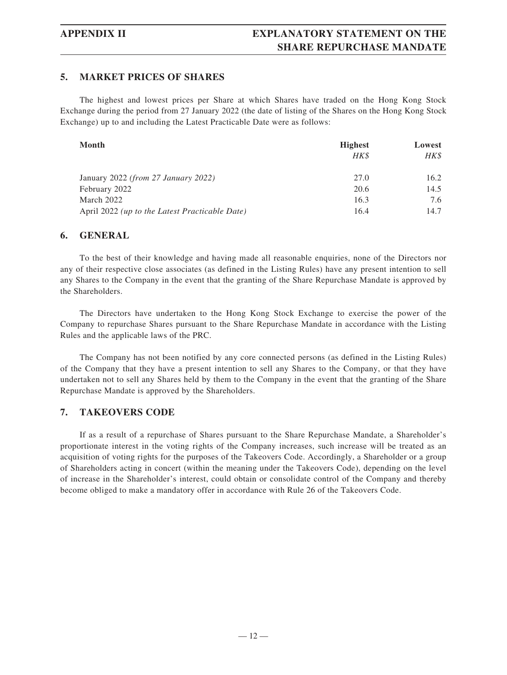### **5. MARKET PRICES OF SHARES**

The highest and lowest prices per Share at which Shares have traded on the Hong Kong Stock Exchange during the period from 27 January 2022 (the date of listing of the Shares on the Hong Kong Stock Exchange) up to and including the Latest Practicable Date were as follows:

| Month                                          | <b>Highest</b> | Lowest |
|------------------------------------------------|----------------|--------|
|                                                | HK\$           | HK\$   |
| January 2022 (from 27 January 2022)            | 27.0           | 16.2   |
| February 2022                                  | 20.6           | 14.5   |
| March 2022                                     | 16.3           | 7.6    |
| April 2022 (up to the Latest Practicable Date) | 16.4           | 14.7   |

### **6. GENERAL**

To the best of their knowledge and having made all reasonable enquiries, none of the Directors nor any of their respective close associates (as defined in the Listing Rules) have any present intention to sell any Shares to the Company in the event that the granting of the Share Repurchase Mandate is approved by the Shareholders.

The Directors have undertaken to the Hong Kong Stock Exchange to exercise the power of the Company to repurchase Shares pursuant to the Share Repurchase Mandate in accordance with the Listing Rules and the applicable laws of the PRC.

The Company has not been notified by any core connected persons (as defined in the Listing Rules) of the Company that they have a present intention to sell any Shares to the Company, or that they have undertaken not to sell any Shares held by them to the Company in the event that the granting of the Share Repurchase Mandate is approved by the Shareholders.

### **7. TAKEOVERS CODE**

If as a result of a repurchase of Shares pursuant to the Share Repurchase Mandate, a Shareholder's proportionate interest in the voting rights of the Company increases, such increase will be treated as an acquisition of voting rights for the purposes of the Takeovers Code. Accordingly, a Shareholder or a group of Shareholders acting in concert (within the meaning under the Takeovers Code), depending on the level of increase in the Shareholder's interest, could obtain or consolidate control of the Company and thereby become obliged to make a mandatory offer in accordance with Rule 26 of the Takeovers Code.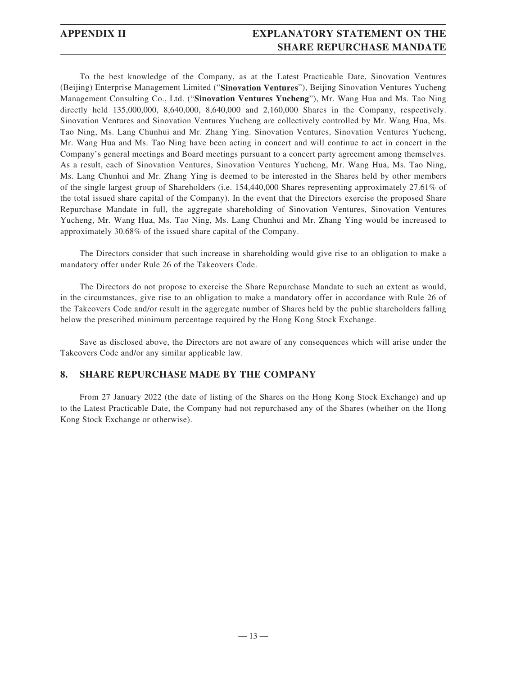## **APPENDIX II EXPLANATORY STATEMENT ON THE SHARE REPURCHASE MANDATE**

To the best knowledge of the Company, as at the Latest Practicable Date, Sinovation Ventures (Beijing) Enterprise Management Limited ("**Sinovation Ventures**"), Beijing Sinovation Ventures Yucheng Management Consulting Co., Ltd. ("**Sinovation Ventures Yucheng**"), Mr. Wang Hua and Ms. Tao Ning directly held 135,000,000, 8,640,000, 8,640,000 and 2,160,000 Shares in the Company, respectively. Sinovation Ventures and Sinovation Ventures Yucheng are collectively controlled by Mr. Wang Hua, Ms. Tao Ning, Ms. Lang Chunhui and Mr. Zhang Ying. Sinovation Ventures, Sinovation Ventures Yucheng, Mr. Wang Hua and Ms. Tao Ning have been acting in concert and will continue to act in concert in the Company's general meetings and Board meetings pursuant to a concert party agreement among themselves. As a result, each of Sinovation Ventures, Sinovation Ventures Yucheng, Mr. Wang Hua, Ms. Tao Ning, Ms. Lang Chunhui and Mr. Zhang Ying is deemed to be interested in the Shares held by other members of the single largest group of Shareholders (i.e. 154,440,000 Shares representing approximately 27.61% of the total issued share capital of the Company). In the event that the Directors exercise the proposed Share Repurchase Mandate in full, the aggregate shareholding of Sinovation Ventures, Sinovation Ventures Yucheng, Mr. Wang Hua, Ms. Tao Ning, Ms. Lang Chunhui and Mr. Zhang Ying would be increased to approximately 30.68% of the issued share capital of the Company.

The Directors consider that such increase in shareholding would give rise to an obligation to make a mandatory offer under Rule 26 of the Takeovers Code.

The Directors do not propose to exercise the Share Repurchase Mandate to such an extent as would, in the circumstances, give rise to an obligation to make a mandatory offer in accordance with Rule 26 of the Takeovers Code and/or result in the aggregate number of Shares held by the public shareholders falling below the prescribed minimum percentage required by the Hong Kong Stock Exchange.

Save as disclosed above, the Directors are not aware of any consequences which will arise under the Takeovers Code and/or any similar applicable law.

### **8. SHARE REPURCHASE MADE BY THE COMPANY**

From 27 January 2022 (the date of listing of the Shares on the Hong Kong Stock Exchange) and up to the Latest Practicable Date, the Company had not repurchased any of the Shares (whether on the Hong Kong Stock Exchange or otherwise).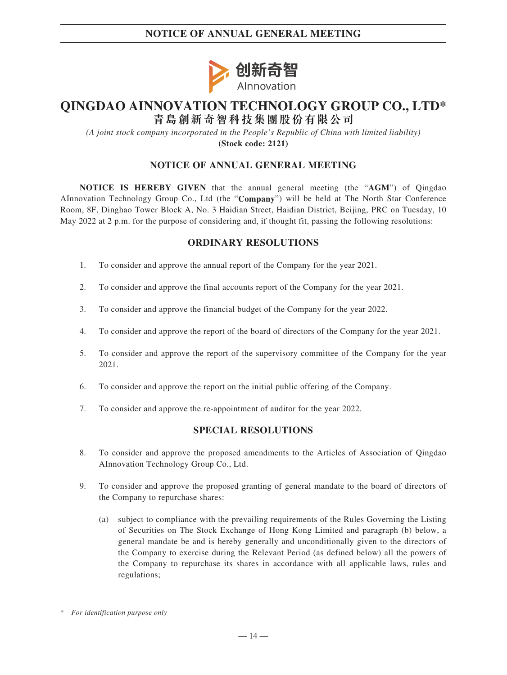## **NOTICE OF ANNUAL GENERAL MEETING**



# **QINGDAO AINNOVATION TECHNOLOGY GROUP CO., LTD\* 青島創新奇智科技集團股份有限公司**

*(A joint stock company incorporated in the People's Republic of China with limited liability)* **(Stock code: 2121)**

### **NOTICE OF ANNUAL GENERAL MEETING**

**NOTICE IS HEREBY GIVEN** that the annual general meeting (the "**AGM**") of Qingdao AInnovation Technology Group Co., Ltd (the "**Company**") will be held at The North Star Conference Room, 8F, Dinghao Tower Block A, No. 3 Haidian Street, Haidian District, Beijing, PRC on Tuesday, 10 May 2022 at 2 p.m. for the purpose of considering and, if thought fit, passing the following resolutions:

### **ORDINARY RESOLUTIONS**

- 1. To consider and approve the annual report of the Company for the year 2021.
- 2. To consider and approve the final accounts report of the Company for the year 2021.
- 3. To consider and approve the financial budget of the Company for the year 2022.
- 4. To consider and approve the report of the board of directors of the Company for the year 2021.
- 5. To consider and approve the report of the supervisory committee of the Company for the year 2021.
- 6. To consider and approve the report on the initial public offering of the Company.
- 7. To consider and approve the re-appointment of auditor for the year 2022.

### **SPECIAL RESOLUTIONS**

- 8. To consider and approve the proposed amendments to the Articles of Association of Qingdao AInnovation Technology Group Co., Ltd.
- 9. To consider and approve the proposed granting of general mandate to the board of directors of the Company to repurchase shares:
	- (a) subject to compliance with the prevailing requirements of the Rules Governing the Listing of Securities on The Stock Exchange of Hong Kong Limited and paragraph (b) below, a general mandate be and is hereby generally and unconditionally given to the directors of the Company to exercise during the Relevant Period (as defined below) all the powers of the Company to repurchase its shares in accordance with all applicable laws, rules and regulations;

<sup>\*</sup> *For identification purpose only*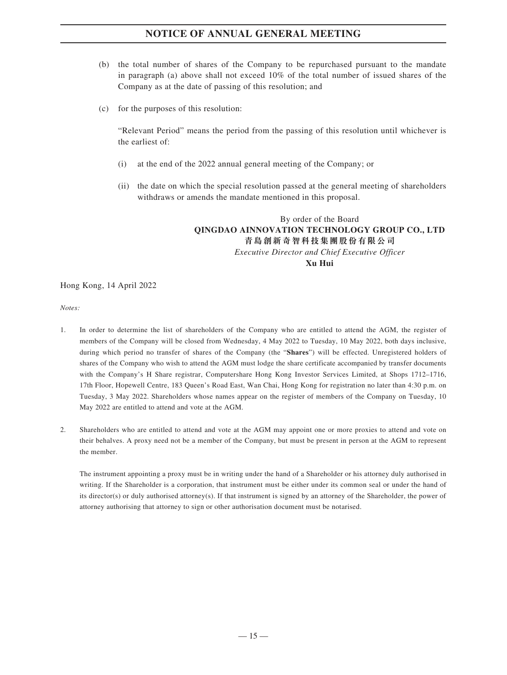## **NOTICE OF ANNUAL GENERAL MEETING**

- (b) the total number of shares of the Company to be repurchased pursuant to the mandate in paragraph (a) above shall not exceed 10% of the total number of issued shares of the Company as at the date of passing of this resolution; and
- (c) for the purposes of this resolution:

"Relevant Period" means the period from the passing of this resolution until whichever is the earliest of:

- (i) at the end of the 2022 annual general meeting of the Company; or
- (ii) the date on which the special resolution passed at the general meeting of shareholders withdraws or amends the mandate mentioned in this proposal.

### By order of the Board **QINGDAO AINNOVATION TECHNOLOGY GROUP CO., LTD 青島創新奇智科技集團股份有限公司** *Executive Director and Chief Executive Officer* **Xu Hui**

### Hong Kong, 14 April 2022

### *Notes:*

- 1. In order to determine the list of shareholders of the Company who are entitled to attend the AGM, the register of members of the Company will be closed from Wednesday, 4 May 2022 to Tuesday, 10 May 2022, both days inclusive, during which period no transfer of shares of the Company (the "**Shares**") will be effected. Unregistered holders of shares of the Company who wish to attend the AGM must lodge the share certificate accompanied by transfer documents with the Company's H Share registrar, Computershare Hong Kong Investor Services Limited, at Shops 1712–1716, 17th Floor, Hopewell Centre, 183 Queen's Road East, Wan Chai, Hong Kong for registration no later than 4:30 p.m. on Tuesday, 3 May 2022. Shareholders whose names appear on the register of members of the Company on Tuesday, 10 May 2022 are entitled to attend and vote at the AGM.
- 2. Shareholders who are entitled to attend and vote at the AGM may appoint one or more proxies to attend and vote on their behalves. A proxy need not be a member of the Company, but must be present in person at the AGM to represent the member.

The instrument appointing a proxy must be in writing under the hand of a Shareholder or his attorney duly authorised in writing. If the Shareholder is a corporation, that instrument must be either under its common seal or under the hand of its director(s) or duly authorised attorney(s). If that instrument is signed by an attorney of the Shareholder, the power of attorney authorising that attorney to sign or other authorisation document must be notarised.